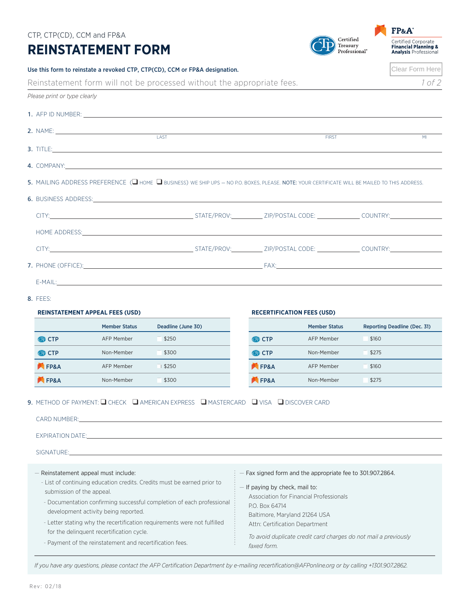| CTP, CTP(CD), CCM and FP&A                                                                                                                                                    |                                                                                                       |                                                                                                                                                                                                                                |                                                                           |                                                                 |                           | FP&A                                                                                   |  |
|-------------------------------------------------------------------------------------------------------------------------------------------------------------------------------|-------------------------------------------------------------------------------------------------------|--------------------------------------------------------------------------------------------------------------------------------------------------------------------------------------------------------------------------------|---------------------------------------------------------------------------|-----------------------------------------------------------------|---------------------------|----------------------------------------------------------------------------------------|--|
| <b>REINSTATEMENT FORM</b>                                                                                                                                                     |                                                                                                       |                                                                                                                                                                                                                                |                                                                           | Certified<br>Treasury                                           | Professional <sup>®</sup> | Certified Corporate<br><b>Financial Planning &amp;</b><br><b>Analysis Professional</b> |  |
|                                                                                                                                                                               |                                                                                                       | Use this form to reinstate a revoked CTP, CTP(CD), CCM or FP&A designation.                                                                                                                                                    |                                                                           |                                                                 |                           | Clear Form Here                                                                        |  |
|                                                                                                                                                                               |                                                                                                       | Reinstatement form will not be processed without the appropriate fees.                                                                                                                                                         |                                                                           |                                                                 |                           | 1 of 2                                                                                 |  |
| Please print or type clearly                                                                                                                                                  |                                                                                                       |                                                                                                                                                                                                                                |                                                                           |                                                                 |                           |                                                                                        |  |
|                                                                                                                                                                               |                                                                                                       |                                                                                                                                                                                                                                |                                                                           |                                                                 |                           |                                                                                        |  |
|                                                                                                                                                                               |                                                                                                       |                                                                                                                                                                                                                                |                                                                           |                                                                 |                           |                                                                                        |  |
|                                                                                                                                                                               |                                                                                                       | LAST<br>3. TITLE: 2008 - 2009 - 2009 - 2009 - 2009 - 2009 - 2009 - 2009 - 2009 - 2009 - 2009 - 2009 - 2009 - 2009 - 20                                                                                                         |                                                                           | <b>FIRST</b>                                                    |                           | M <sub>l</sub>                                                                         |  |
|                                                                                                                                                                               |                                                                                                       | 4. COMPANY: A COMPANY: A COMPANY: A COMPANY:                                                                                                                                                                                   |                                                                           |                                                                 |                           |                                                                                        |  |
|                                                                                                                                                                               |                                                                                                       | 5. MAILING ADDRESS PREFERENCE ( $\square$ home $\square$ business) we ship ups – no p.o. boxes, please. Note: your certificate will be mailed to this address.                                                                 |                                                                           |                                                                 |                           |                                                                                        |  |
|                                                                                                                                                                               |                                                                                                       | 6. BUSINESS ADDRESS: And the state of the state of the state of the state of the state of the state of the state of the state of the state of the state of the state of the state of the state of the state of the state of th |                                                                           |                                                                 |                           |                                                                                        |  |
|                                                                                                                                                                               |                                                                                                       |                                                                                                                                                                                                                                |                                                                           |                                                                 |                           |                                                                                        |  |
|                                                                                                                                                                               |                                                                                                       | HOME ADDRESS: The contract of the contract of the contract of the contract of the contract of the contract of the contract of the contract of the contract of the contract of the contract of the contract of the contract of  |                                                                           |                                                                 |                           |                                                                                        |  |
|                                                                                                                                                                               |                                                                                                       |                                                                                                                                                                                                                                |                                                                           |                                                                 |                           |                                                                                        |  |
|                                                                                                                                                                               |                                                                                                       |                                                                                                                                                                                                                                |                                                                           |                                                                 |                           |                                                                                        |  |
|                                                                                                                                                                               |                                                                                                       |                                                                                                                                                                                                                                |                                                                           |                                                                 |                           |                                                                                        |  |
| 8. FFFS:                                                                                                                                                                      |                                                                                                       |                                                                                                                                                                                                                                |                                                                           |                                                                 |                           |                                                                                        |  |
| <b>REINSTATEMENT APPEAL FEES (USD)</b>                                                                                                                                        |                                                                                                       |                                                                                                                                                                                                                                | <b>RECERTIFICATION FEES (USD)</b>                                         |                                                                 |                           |                                                                                        |  |
|                                                                                                                                                                               | <b>Member Status</b>                                                                                  | Deadline (June 30)                                                                                                                                                                                                             |                                                                           | <b>Member Status</b>                                            |                           | Reporting Deadline (Dec. 31)                                                           |  |
| <b>OD CTP</b>                                                                                                                                                                 | AFP Member                                                                                            | \$250                                                                                                                                                                                                                          | <b>OD CTP</b>                                                             | <b>AFP Member</b>                                               | \$160                     |                                                                                        |  |
| odd CTP                                                                                                                                                                       | Non-Member                                                                                            | \$300                                                                                                                                                                                                                          | <b>OD CTP</b>                                                             | Non-Member                                                      | \$275                     |                                                                                        |  |
| <b>EP&amp;A</b>                                                                                                                                                               | AFP Member                                                                                            | \$250                                                                                                                                                                                                                          | <b>EP&amp;A</b>                                                           | AFP Member                                                      | \$160                     |                                                                                        |  |
| FP&A                                                                                                                                                                          | Non-Member                                                                                            | \$300                                                                                                                                                                                                                          | <b>EP&amp;A</b>                                                           | Non-Member                                                      | \$275                     |                                                                                        |  |
|                                                                                                                                                                               |                                                                                                       | 9. METHOD OF PAYMENT: Q CHECK Q AMERICAN EXPRESS Q MASTERCARD Q VISA Q DISCOVER CARD                                                                                                                                           |                                                                           |                                                                 |                           |                                                                                        |  |
| CARD NUMBER:                                                                                                                                                                  |                                                                                                       |                                                                                                                                                                                                                                |                                                                           |                                                                 |                           |                                                                                        |  |
|                                                                                                                                                                               |                                                                                                       |                                                                                                                                                                                                                                |                                                                           |                                                                 |                           |                                                                                        |  |
|                                                                                                                                                                               |                                                                                                       | SIGNATURE: And the state of the state of the state of the state of the state of the state of the state of the                                                                                                                  |                                                                           |                                                                 |                           |                                                                                        |  |
|                                                                                                                                                                               |                                                                                                       |                                                                                                                                                                                                                                |                                                                           |                                                                 |                           |                                                                                        |  |
| - Reinstatement appeal must include:<br>- Fax signed form and the appropriate fee to 301.907.2864.<br>- List of continuing education credits. Credits must be earned prior to |                                                                                                       |                                                                                                                                                                                                                                |                                                                           |                                                                 |                           |                                                                                        |  |
| submission of the appeal.                                                                                                                                                     |                                                                                                       |                                                                                                                                                                                                                                | - If paying by check, mail to:<br>Association for Financial Professionals |                                                                 |                           |                                                                                        |  |
|                                                                                                                                                                               |                                                                                                       |                                                                                                                                                                                                                                |                                                                           | P.O. Box 64714                                                  |                           |                                                                                        |  |
|                                                                                                                                                                               |                                                                                                       | - Documentation confirming successful completion of each professional                                                                                                                                                          |                                                                           |                                                                 |                           |                                                                                        |  |
|                                                                                                                                                                               | development activity being reported.                                                                  | - Letter stating why the recertification requirements were not fulfilled                                                                                                                                                       | Baltimore, Maryland 21264 USA<br>Attn: Certification Department           |                                                                 |                           |                                                                                        |  |
|                                                                                                                                                                               | for the delinquent recertification cycle.<br>- Payment of the reinstatement and recertification fees. |                                                                                                                                                                                                                                |                                                                           | To avoid duplicate credit card charges do not mail a previously |                           |                                                                                        |  |

*If you have any questions, please contact the AFP Certification Department by e-mailing recertification@AFPonline.org or by calling +1301.907.2862.*